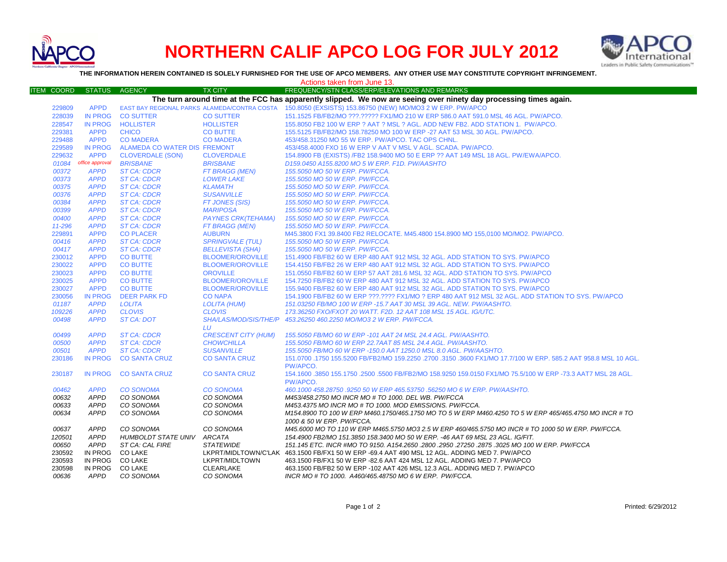

## **NORTHERN CALIF APCO LOG FOR JULY 2012**



**THE INFORMATION HEREIN CONTAINED IS SOLELY FURNISHED FOR THE USE OF APCO MEMBERS. ANY OTHER USE MAY CONSTITUTE COPYRIGHT INFRINGEMENT.**

| Actions taken from June 13. |                 |                              |                              |                                                                                                                   |  |
|-----------------------------|-----------------|------------------------------|------------------------------|-------------------------------------------------------------------------------------------------------------------|--|
| ITEM COORD                  | STATUS AGENCY   |                              | <b>TX CITY</b>               | FREQUENCY/STN CLASS/ERP/ELEVATIONS AND REMARKS                                                                    |  |
|                             |                 |                              |                              | The turn around time at the FCC has apparently slipped. We now are seeing over ninety day processing times again. |  |
| 229809                      | <b>APPD</b>     |                              |                              | EAST BAY REGIONAL PARKS ALAMEDA/CONTRA COSTA 150.8050 (EXSISTS) 153.86750 (NEW) MO/MO3 2 W ERP. PW/APCO           |  |
| 228039                      | <b>IN PROG</b>  | <b>CO SUTTER</b>             | <b>CO SUTTER</b>             | 151.1525 FB/FB2/MO ???.????? FX1/MO 210 W ERP 586.0 AAT 591.0 MSL 46 AGL. PW/APCO.                                |  |
| 228547                      | <b>IN PROG</b>  | <b>HOLLISTER</b>             | <b>HOLLISTER</b>             | 155.8050 FB2 100 W ERP ? AAT ? MSL ? AGL. ADD NEW FB2. ADD STATION 1. PW/APCO.                                    |  |
| 229381                      | <b>APPD</b>     | <b>CHICO</b>                 | <b>CO BUTTE</b>              | 155.5125 FB/FB2/MO 158.78250 MO 100 W ERP -27 AAT 53 MSL 30 AGL. PW/APCO.                                         |  |
| 229488                      | <b>APPD</b>     | <b>CO MADERA</b>             | <b>CO MADERA</b>             | 453/458.31250 MO 55 W ERP. PW/APCO. TAC OPS CHNL.                                                                 |  |
| 229589                      | <b>IN PROG</b>  | ALAMEDA CO WATER DIS FREMONT |                              | 453/458.4000 FXO 16 W ERP V AAT V MSL V AGL. SCADA. PW/APCO.                                                      |  |
| 229632                      | <b>APPD</b>     | <b>CLOVERDALE (SON)</b>      | <b>CLOVERDALE</b>            | 154.8900 FB (EXISTS) /FB2 158.9400 MO 50 E ERP ?? AAT 149 MSL 18 AGL. PW/EWA/APCO.                                |  |
| 01084                       | office approval | <b>BRISBANE</b>              | <b>BRISBANE</b>              | D159.0450 A155.8200 MO 5 W ERP. F1D. PW/AASHTO                                                                    |  |
| 00372                       | <b>APPD</b>     | <b>ST CA: CDCR</b>           | FT BRAGG (MEN)               | 155.5050 MO 50 W ERP. PW/FCCA.                                                                                    |  |
| 00373                       | <b>APPD</b>     | <b>ST CA: CDCR</b>           | <b>LOWER LAKE</b>            | 155.5050 MO 50 W ERP. PW/FCCA.                                                                                    |  |
| 00375                       | <b>APPD</b>     | <b>ST CA: CDCR</b>           | <b>KLAMATH</b>               | 155.5050 MO 50 W ERP. PW/FCCA.                                                                                    |  |
| 00376                       | <b>APPD</b>     | <b>ST CA: CDCR</b>           | <b>SUSANVILLE</b>            | 155.5050 MO 50 W ERP. PW/FCCA.                                                                                    |  |
| 00384                       | <b>APPD</b>     | <b>ST CA: CDCR</b>           | FT JONES (SIS)               | 155.5050 MO 50 W ERP. PW/FCCA.                                                                                    |  |
| 00399                       | <b>APPD</b>     | <b>ST CA: CDCR</b>           | <b>MARIPOSA</b>              | 155.5050 MO 50 W ERP. PW/FCCA.                                                                                    |  |
| 00400                       | <b>APPD</b>     | <b>ST CA: CDCR</b>           | <b>PAYNES CRK(TEHAMA)</b>    | 155.5050 MO 50 W ERP. PW/FCCA.                                                                                    |  |
| 11-296                      | <b>APPD</b>     | <b>ST CA: CDCR</b>           | FT BRAGG (MEN)               | 155.5050 MO 50 W ERP. PW/FCCA.                                                                                    |  |
| 229891                      | <b>APPD</b>     | <b>CO PLACER</b>             | <b>AUBURN</b>                | M45.3800 FX1 39.8400 FB2 RELOCATE. M45.4800 154.8900 MO 155,0100 MO/MO2. PW/APCO.                                 |  |
| 00416                       | <b>APPD</b>     | <b>ST CA: CDCR</b>           | <b>SPRINGVALE (TUL)</b>      | 155.5050 MO 50 W ERP. PW/FCCA.                                                                                    |  |
| 00417                       | <b>APPD</b>     | <b>ST CA: CDCR</b>           | <b>BELLEVISTA (SHA)</b>      | 155.5050 MO 50 W ERP. PW/FCCA.                                                                                    |  |
| 230012                      | <b>APPD</b>     | <b>CO BUTTE</b>              | <b>BLOOMER/OROVILLE</b>      | 151.4900 FB/FB2 60 W ERP 480 AAT 912 MSL 32 AGL. ADD STATION TO SYS. PW/APCO                                      |  |
| 230022                      | <b>APPD</b>     | <b>CO BUTTE</b>              | <b>BLOOMER/OROVILLE</b>      | 154.4150 FB/FB2 26 W ERP 480 AAT 912 MSL 32 AGL. ADD STATION TO SYS. PW/APCO                                      |  |
| 230023                      | <b>APPD</b>     | <b>CO BUTTE</b>              | <b>OROVILLE</b>              | 151.0550 FB/FB2 60 W ERP 57 AAT 281.6 MSL 32 AGL. ADD STATION TO SYS. PW/APCO                                     |  |
| 230025                      | <b>APPD</b>     | <b>CO BUTTE</b>              | <b>BLOOMER/OROVILLE</b>      | 154.7250 FB/FB2 60 W ERP 480 AAT 912 MSL 32 AGL. ADD STATION TO SYS. PW/APCO                                      |  |
| 230027                      | <b>APPD</b>     | <b>CO BUTTE</b>              | <b>BLOOMER/OROVILLE</b>      | 155.9400 FB/FB2 60 W ERP 480 AAT 912 MSL 32 AGL. ADD STATION TO SYS. PW/APCO                                      |  |
| 230056                      | <b>IN PROG</b>  | <b>DEER PARK FD</b>          | <b>CO NAPA</b>               | 154.1900 FB/FB2 60 W ERP ???.???? FX1/MO ? ERP 480 AAT 912 MSL 32 AGL. ADD STATION TO SYS. PW/APCO                |  |
| 01187                       | <b>APPD</b>     | <b>LOLITA</b>                | LOLITA (HUM)                 | 151.03250 FB/MO 100 W ERP -15.7 AAT 30 MSL 39 AGL. NEW. PW/AASHTO.                                                |  |
| 109226                      | <b>APPD</b>     | <b>CLOVIS</b>                | <b>CLOVIS</b>                | 173.36250 FXO/FXOT 20 WATT. F2D. 12 AAT 108 MSL 15 AGL. IG/UTC.                                                   |  |
| 00498                       | <b>APPD</b>     | ST CA: DOT                   | <b>SHA/LAS/MOD/SIS/THE/P</b> | 453.26250 460.2250 MO/MO3 2 W ERP. PW/FCCA.                                                                       |  |
|                             |                 |                              | LU                           |                                                                                                                   |  |
| 00499                       | <b>APPD</b>     | <b>ST CA: CDCR</b>           | <b>CRESCENT CITY (HUM)</b>   | 155.5050 FB/MO 60 W ERP -101 AAT 24 MSL 24.4 AGL. PW/AASHTO.                                                      |  |
| 00500                       | <b>APPD</b>     | <b>ST CA: CDCR</b>           | <b>CHOWCHILLA</b>            | 155.5050 FB/MO 60 W ERP 22.7AAT 85 MSL 24.4 AGL. PW/AASHTO.                                                       |  |
| 00501                       | <b>APPD</b>     | <b>ST CA: CDCR</b>           | <b>SUSANVILLE</b>            | 155.5050 FB/MO 60 W ERP -150.0 AAT 1250.0 MSL 8.0 AGL. PW/AASHTO.                                                 |  |
| 230186                      | <b>IN PROG</b>  | <b>CO SANTA CRUZ</b>         | <b>CO SANTA CRUZ</b>         | 151.0700 .1750 155.5200 FB/FB2/MO 159.2250 .2700 .3150 .3600 FX1/MO 17.7/100 W ERP. 585.2 AAT 958.8 MSL 10 AGL    |  |
|                             |                 |                              |                              | PW/APCO.                                                                                                          |  |
| 230187                      | IN PROG         | <b>CO SANTA CRUZ</b>         | <b>CO SANTA CRUZ</b>         | 154.1600 .3850 155.1750 .2500 .5500 FB/FB2/MO 158.9250 159.0150 FX1/MO 75.5/100 W ERP -73.3 AAT7 MSL 28 AGL.      |  |
|                             |                 |                              |                              | PW/APCO.                                                                                                          |  |
| 00462                       | <b>APPD</b>     | <b>CO SONOMA</b>             | <b>CO SONOMA</b>             | 460.1000 458.28750 .9250 50 W ERP 465.53750 .56250 MO 6 W ERP. PW/AASHTO.                                         |  |
| 00632                       | <b>APPD</b>     | CO SONOMA                    | CO SONOMA                    | M453/458.2750 MO INCR MO # TO 1000. DEL WB. PW/FCCA                                                               |  |
| 00633                       | <b>APPD</b>     | CO SONOMA                    | CO SONOMA                    | M453.4375 MO INCR MO # TO 1000. MOD EMISSIONS. PW/FCCA.                                                           |  |
| 00634                       | <b>APPD</b>     | CO SONOMA                    | CO SONOMA                    | M154.8900 TO 100 W ERP M460.1750/465.1750 MO TO 5 W ERP M460.4250 TO 5 W ERP 465/465.4750 MO INCR # TO            |  |
|                             |                 |                              |                              | 1000 & 50 W ERP. PW/FCCA.                                                                                         |  |
| 00637                       | <b>APPD</b>     | CO SONOMA                    | CO SONOMA                    | M45.6000 MO TO 110 W ERP M465.5750 MO3 2.5 W ERP 460/465.5750 MO INCR # TO 1000 50 W ERP. PW/FCCA.                |  |
| 120501                      | <b>APPD</b>     | HUMBOLDT STATE UNIV ARCATA   |                              | 154.4900 FB2/MO 151.3850 158.3400 MO 50 W ERP. -46 AAT 69 MSL 23 AGL. IG/FIT.                                     |  |
| 00650                       | APPD            | ST CA: CAL FIRE              | <b>STATEWIDE</b>             | 151.145 ETC. INCR #MO TO 9150. A154.2650 .2800 .2950 .27250 .2875 .3025 MO 100 W ERP. PW/FCCA                     |  |
| 230592                      | IN PROG         | CO LAKE                      |                              | LKPRT/MIDLTOWN/C'LAK 463.1500 FB/FX1 50 W ERP -69.4 AAT 490 MSL 12 AGL. ADDING MED 7. PW/APCO                     |  |
| 230593                      | IN PROG         | <b>CO LAKE</b>               | LKPRT/MIDLTOWN               | 463.1500 FB/FX1 50 W ERP -82.6 AAT 424 MSL 12 AGL. ADDING MED 7. PW/APCO                                          |  |
| 230598                      | IN PROG CO LAKE |                              | <b>CLEARLAKE</b>             | 463.1500 FB/FB2 50 W ERP -102 AAT 426 MSL 12.3 AGL. ADDING MED 7. PW/APCO                                         |  |
| 00636                       | APPD            | CO SONOMA                    | CO SONOMA                    | INCR MO # TO 1000. A460/465.48750 MO 6 W ERP. PW/FCCA.                                                            |  |